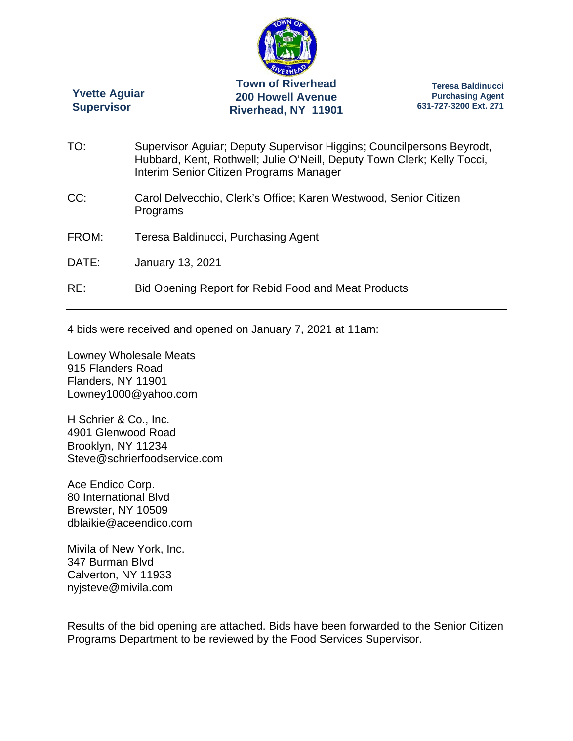

**Yvette Aguiar Supervisor** 

**Teresa Baldinucci Purchasing Agent 631-727-3200 Ext. 271** 

TO: Supervisor Aguiar; Deputy Supervisor Higgins; Councilpersons Beyrodt, Hubbard, Kent, Rothwell; Julie O'Neill, Deputy Town Clerk; Kelly Tocci, Interim Senior Citizen Programs Manager CC: Carol Delvecchio, Clerk's Office; Karen Westwood, Senior Citizen Programs FROM: Teresa Baldinucci, Purchasing Agent DATE: January 13, 2021 RE: Bid Opening Report for Rebid Food and Meat Products

4 bids were received and opened on January 7, 2021 at 11am:

Lowney Wholesale Meats 915 Flanders Road Flanders, NY 11901 Lowney1000@yahoo.com

H Schrier & Co., Inc. 4901 Glenwood Road Brooklyn, NY 11234 Steve@schrierfoodservice.com

Ace Endico Corp. 80 International Blvd Brewster, NY 10509 dblaikie@aceendico.com

Mivila of New York, Inc. 347 Burman Blvd Calverton, NY 11933 nyjsteve@mivila.com

Results of the bid opening are attached. Bids have been forwarded to the Senior Citizen Programs Department to be reviewed by the Food Services Supervisor.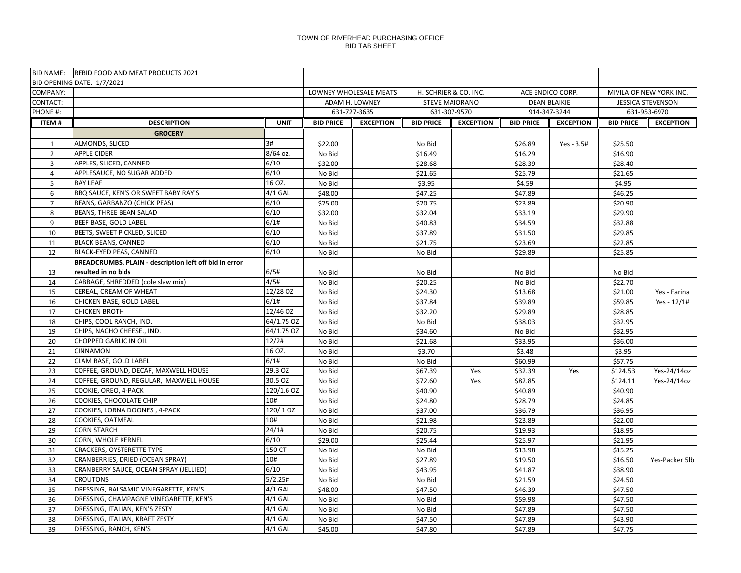|                | BID NAME: REBID FOOD AND MEAT PRODUCTS 2021                   |                 |                  |                        |                       |                       |                     |                  |                          |                            |
|----------------|---------------------------------------------------------------|-----------------|------------------|------------------------|-----------------------|-----------------------|---------------------|------------------|--------------------------|----------------------------|
|                | BID OPENING DATE: 1/7/2021                                    |                 |                  |                        |                       |                       |                     |                  |                          |                            |
| COMPANY:       |                                                               |                 |                  | LOWNEY WHOLESALE MEATS | H. SCHRIER & CO. INC. |                       | ACE ENDICO CORP.    |                  |                          | MIVILA OF NEW YORK INC.    |
| CONTACT:       |                                                               |                 |                  | ADAM H. LOWNEY         |                       | <b>STEVE MAIORANO</b> | <b>DEAN BLAIKIE</b> |                  | <b>JESSICA STEVENSON</b> |                            |
| PHONE #:       |                                                               |                 |                  | 631-727-3635           | 631-307-9570          |                       | 914-347-3244        |                  |                          | 631-953-6970               |
| <b>ITEM#</b>   | <b>DESCRIPTION</b>                                            | <b>UNIT</b>     | <b>BID PRICE</b> | <b>EXCEPTION</b>       | <b>BID PRICE</b>      | <b>EXCEPTION</b>      | <b>BID PRICE</b>    | <b>EXCEPTION</b> | <b>BID PRICE</b>         | <b>EXCEPTION</b>           |
|                | <b>GROCERY</b>                                                |                 |                  |                        |                       |                       |                     |                  |                          |                            |
| $\mathbf{1}$   | ALMONDS, SLICED                                               | 3#              | \$22.00          |                        | No Bid                |                       | \$26.89             | Yes - 3.5#       | \$25.50                  |                            |
| $\overline{2}$ | <b>APPLE CIDER</b>                                            | 8/64 oz.        | No Bid           |                        | \$16.49               |                       | \$16.29             |                  | \$16.90                  |                            |
| $\overline{3}$ | APPLES, SLICED, CANNED                                        | 6/10            | \$32.00          |                        | \$28.68               |                       | \$28.39             |                  | \$28.40                  |                            |
| 4              | APPLESAUCE, NO SUGAR ADDED                                    | 6/10            | No Bid           |                        | \$21.65               |                       | \$25.79             |                  | \$21.65                  |                            |
| 5              | <b>BAY LEAF</b>                                               | 16 OZ.          | No Bid           |                        | \$3.95                |                       | \$4.59              |                  | \$4.95                   |                            |
| 6              | BBQ SAUCE, KEN'S OR SWEET BABY RAY'S                          | $4/1$ GAL       | \$48.00          |                        | \$47.25               |                       | \$47.89             |                  | \$46.25                  |                            |
| $\overline{7}$ | BEANS, GARBANZO (CHICK PEAS)                                  | 6/10            | \$25.00          |                        | \$20.75               |                       | \$23.89             |                  | \$20.90                  |                            |
| 8              | BEANS, THREE BEAN SALAD                                       | 6/10            | \$32.00          |                        | \$32.04               |                       | \$33.19             |                  | \$29.90                  |                            |
| 9              | BEEF BASE, GOLD LABEL                                         | 6/1#            | No Bid           |                        | \$40.83               |                       | \$34.59             |                  | \$32.88                  |                            |
| 10             | BEETS, SWEET PICKLED, SLICED                                  | 6/10            | No Bid           |                        | \$37.89               |                       | \$31.50             |                  | \$29.85                  |                            |
| 11             | <b>BLACK BEANS, CANNED</b>                                    | 6/10            | No Bid           |                        | \$21.75               |                       | \$23.69             |                  | \$22.85                  |                            |
| 12             | BLACK-EYED PEAS, CANNED                                       | 6/10            | No Bid           |                        | No Bid                |                       | \$29.89             |                  | \$25.85                  |                            |
|                | BREADCRUMBS, PLAIN - description left off bid in error        |                 |                  |                        |                       |                       |                     |                  |                          |                            |
| 13             | resulted in no bids                                           | 6/5#            | No Bid           |                        | No Bid                |                       | No Bid              |                  | No Bid                   |                            |
| 14             | CABBAGE, SHREDDED (cole slaw mix)                             | 4/5#            | No Bid           |                        | \$20.25               |                       | No Bid              |                  | \$22.70                  |                            |
| 15             | CEREAL, CREAM OF WHEAT                                        | 12/28 OZ        | No Bid           |                        | \$24.30               |                       | \$13.68             |                  | \$21.00                  | Yes - Farina               |
| 16             | CHICKEN BASE, GOLD LABEL                                      | 6/1#            | No Bid           |                        | \$37.84               |                       | \$39.89             |                  | \$59.85                  | Yes - 12/1#                |
| 17             | <b>CHICKEN BROTH</b>                                          | 12/46 OZ        | No Bid           |                        | \$32.20               |                       | \$29.89             |                  | \$28.85                  |                            |
| 18             | CHIPS, COOL RANCH, IND.                                       | 64/1.75 OZ      | No Bid           |                        | No Bid                |                       | \$38.03             |                  | \$32.95                  |                            |
| 19             | CHIPS, NACHO CHEESE., IND.                                    | 64/1.75 OZ      | No Bid           |                        | \$34.60               |                       | No Bid              |                  | \$32.95                  |                            |
| 20             | CHOPPED GARLIC IN OIL                                         | 12/2#           | No Bid           |                        | \$21.68               |                       | \$33.95             |                  | \$36.00                  |                            |
| 21             | CINNAMON                                                      | 16 OZ.          | No Bid           |                        | \$3.70                |                       | \$3.48              |                  | \$3.95                   |                            |
| 22             | CLAM BASE, GOLD LABEL<br>COFFEE, GROUND, DECAF, MAXWELL HOUSE | 6/1#<br>29.3 OZ | No Bid           |                        | No Bid                |                       | \$60.99             |                  | \$57.75                  |                            |
| 23<br>24       | COFFEE, GROUND, REGULAR, MAXWELL HOUSE                        | 30.5 OZ         | No Bid<br>No Bid |                        | \$67.39<br>\$72.60    | Yes<br>Yes            | \$32.39<br>\$82.85  | Yes              | \$124.53<br>\$124.11     | Yes-24/14oz<br>Yes-24/14oz |
| 25             | COOKIE, OREO, 4-PACK                                          | 120/1.6 OZ      | No Bid           |                        | \$40.90               |                       | \$40.89             |                  | \$40.90                  |                            |
| 26             | COOKIES, CHOCOLATE CHIP                                       | 10#             | No Bid           |                        | \$24.80               |                       | \$28.79             |                  | \$24.85                  |                            |
| 27             | COOKIES, LORNA DOONES, 4-PACK                                 | 120/10Z         | No Bid           |                        | \$37.00               |                       | \$36.79             |                  | \$36.95                  |                            |
| 28             | COOKIES, OATMEAL                                              | 10#             | No Bid           |                        | \$21.98               |                       | \$23.89             |                  | \$22.00                  |                            |
| 29             | <b>CORN STARCH</b>                                            | 24/1#           | No Bid           |                        | \$20.75               |                       | \$19.93             |                  | \$18.95                  |                            |
| 30             | CORN, WHOLE KERNEL                                            | 6/10            | \$29.00          |                        | \$25.44               |                       | \$25.97             |                  | \$21.95                  |                            |
| 31             | CRACKERS, OYSTERETTE TYPE                                     | 150 CT          | No Bid           |                        | No Bid                |                       | \$13.98             |                  | \$15.25                  |                            |
| 32             | CRANBERRIES, DRIED (OCEAN SPRAY)                              | 10#             | No Bid           |                        | \$27.89               |                       | \$19.50             |                  | \$16.50                  | Yes-Packer 5lb             |
| 33             | CRANBERRY SAUCE, OCEAN SPRAY (JELLIED)                        | 6/10            | No Bid           |                        | \$43.95               |                       | \$41.87             |                  | \$38.90                  |                            |
| 34             | <b>CROUTONS</b>                                               | 5/2.25#         | No Bid           |                        | No Bid                |                       | \$21.59             |                  | \$24.50                  |                            |
| 35             | DRESSING, BALSAMIC VINEGARETTE, KEN'S                         | $4/1$ GAL       | \$48.00          |                        | \$47.50               |                       | \$46.39             |                  | \$47.50                  |                            |
| 36             | DRESSING, CHAMPAGNE VINEGARETTE, KEN'S                        | $4/1$ GAL       | No Bid           |                        | No Bid                |                       | \$59.98             |                  | \$47.50                  |                            |
| 37             | DRESSING, ITALIAN, KEN'S ZESTY                                | $4/1$ GAL       | No Bid           |                        | No Bid                |                       | \$47.89             |                  | \$47.50                  |                            |
| 38             | DRESSING, ITALIAN, KRAFT ZESTY                                | $4/1$ GAL       | No Bid           |                        | \$47.50               |                       | \$47.89             |                  | \$43.90                  |                            |
| 39             | DRESSING, RANCH, KEN'S                                        | $4/1$ GAL       | \$45.00          |                        | \$47.80               |                       | \$47.89             |                  | \$47.75                  |                            |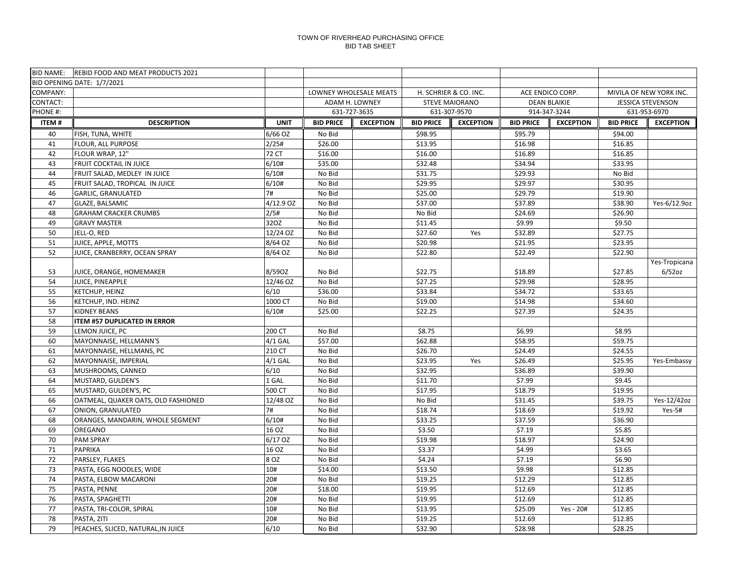|              | BID NAME: REBID FOOD AND MEAT PRODUCTS 2021 |             |                  |                        |                       |                       |                  |                     |                          |                         |
|--------------|---------------------------------------------|-------------|------------------|------------------------|-----------------------|-----------------------|------------------|---------------------|--------------------------|-------------------------|
|              | BID OPENING DATE: 1/7/2021                  |             |                  |                        |                       |                       |                  |                     |                          |                         |
| COMPANY:     |                                             |             |                  | LOWNEY WHOLESALE MEATS |                       | H. SCHRIER & CO. INC. |                  | ACE ENDICO CORP.    |                          | MIVILA OF NEW YORK INC. |
| CONTACT:     |                                             |             |                  | ADAM H. LOWNEY         | <b>STEVE MAIORANO</b> |                       |                  | <b>DEAN BLAIKIE</b> | <b>JESSICA STEVENSON</b> |                         |
| PHONE #:     |                                             |             |                  | 631-727-3635           | 631-307-9570          |                       | 914-347-3244     |                     | 631-953-6970             |                         |
| <b>ITEM#</b> | <b>DESCRIPTION</b>                          | <b>UNIT</b> | <b>BID PRICE</b> | <b>EXCEPTION</b>       | <b>BID PRICE</b>      | <b>EXCEPTION</b>      | <b>BID PRICE</b> | <b>EXCEPTION</b>    | <b>BID PRICE</b>         | <b>EXCEPTION</b>        |
| 40           | FISH, TUNA, WHITE                           | 6/66 OZ     | No Bid           |                        | \$98.95               |                       | \$95.79          |                     | \$94.00                  |                         |
| 41           | FLOUR, ALL PURPOSE                          | 2/25#       | \$26.00          |                        | \$13.95               |                       | \$16.98          |                     | \$16.85                  |                         |
| 42           | FLOUR WRAP, 12"                             | 72 CT       | \$16.00          |                        | \$16.00               |                       | \$16.89          |                     | \$16.85                  |                         |
| 43           | FRUIT COCKTAIL IN JUICE                     | 6/10#       | \$35.00          |                        | \$32.48               |                       | \$34.94          |                     | \$33.95                  |                         |
| 44           | FRUIT SALAD, MEDLEY IN JUICE                | 6/10#       | No Bid           |                        | \$31.75               |                       | \$29.93          |                     | No Bid                   |                         |
| 45           | FRUIT SALAD, TROPICAL IN JUICE              | 6/10#       | No Bid           |                        | \$29.95               |                       | \$29.97          |                     | \$30.95                  |                         |
| 46           | GARLIC, GRANULATED                          | 7#          | No Bid           |                        | \$25.00               |                       | \$29.79          |                     | \$19.90                  |                         |
| 47           | <b>GLAZE, BALSAMIC</b>                      | 4/12.9 OZ   | No Bid           |                        | \$37.00               |                       | \$37.89          |                     | \$38.90                  | Yes-6/12.9oz            |
| 48           | <b>GRAHAM CRACKER CRUMBS</b>                | 2/5#        | No Bid           |                        | No Bid                |                       | \$24.69          |                     | \$26.90                  |                         |
| 49           | <b>GRAVY MASTER</b>                         | 32OZ        | No Bid           |                        | \$11.45               |                       | \$9.99           |                     | \$9.50                   |                         |
| 50           | JELL-O, RED                                 | 12/24 OZ    | No Bid           |                        | \$27.60               | Yes                   | \$32.89          |                     | \$27.75                  |                         |
| 51           | JUICE, APPLE, MOTTS                         | 8/64 OZ     | No Bid           |                        | \$20.98               |                       | \$21.95          |                     | \$23.95                  |                         |
| 52           | JUICE, CRANBERRY, OCEAN SPRAY               | 8/64 OZ     | No Bid           |                        | \$22.80               |                       | \$22.49          |                     | \$22.90                  |                         |
|              |                                             |             |                  |                        |                       |                       |                  |                     |                          | Yes-Tropicana           |
| 53           | JUICE, ORANGE, HOMEMAKER                    | 8/590Z      | No Bid           |                        | \$22.75               |                       | \$18.89          |                     | \$27.85                  | $6/52$ oz               |
| 54           | JUICE, PINEAPPLE                            | 12/46 OZ    | No Bid           |                        | \$27.25               |                       | \$29.98          |                     | \$28.95                  |                         |
| 55           | KETCHUP, HEINZ                              | 6/10        | \$36.00          |                        | \$33.84               |                       | \$34.72          |                     | \$33.65                  |                         |
| 56           | KETCHUP, IND. HEINZ                         | 1000 CT     | No Bid           |                        | \$19.00               |                       | \$14.98          |                     | \$34.60                  |                         |
| 57           | <b>KIDNEY BEANS</b>                         | 6/10#       | \$25.00          |                        | \$22.25               |                       | \$27.39          |                     | \$24.35                  |                         |
| 58           | ITEM #57 DUPLICATED IN ERROR                |             |                  |                        |                       |                       |                  |                     |                          |                         |
| 59           | LEMON JUICE, PC                             | 200 CT      | No Bid           |                        | \$8.75                |                       | \$6.99           |                     | \$8.95                   |                         |
| 60           | MAYONNAISE, HELLMANN'S                      | $4/1$ GAL   | \$57.00          |                        | \$62.88               |                       | \$58.95          |                     | \$59.75                  |                         |
| 61           | MAYONNAISE, HELLMANS, PC                    | 210 CT      | No Bid           |                        | \$26.70               |                       | \$24.49          |                     | \$24.55                  |                         |
| 62           | MAYONNAISE, IMPERIAL                        | $4/1$ GAL   | No Bid           |                        | \$23.95               | Yes                   | \$26.49          |                     | \$25.95                  | Yes-Embassy             |
| 63           | MUSHROOMS, CANNED                           | 6/10        | No Bid           |                        | \$32.95               |                       | \$36.89          |                     | \$39.90                  |                         |
| 64           | MUSTARD, GULDEN'S                           | 1 GAL       | No Bid           |                        | \$11.70               |                       | \$7.99           |                     | \$9.45                   |                         |
| 65           | MUSTARD, GULDEN'S, PC                       | 500 CT      | No Bid           |                        | \$17.95               |                       | \$18.79          |                     | \$19.95                  |                         |
| 66           | OATMEAL, QUAKER OATS, OLD FASHIONED         | 12/48 OZ    | No Bid           |                        | No Bid                |                       | \$31.45          |                     | \$39.75                  | Yes-12/42oz             |
| 67           | ONION, GRANULATED                           | 7#          | No Bid           |                        | \$18.74               |                       | \$18.69          |                     | \$19.92                  | $Yes-5#$                |
| 68           | ORANGES, MANDARIN, WHOLE SEGMENT            | 6/10#       | No Bid           |                        | \$33.25               |                       | \$37.59          |                     | \$36.90                  |                         |
| 69           | OREGANO                                     | 16 OZ       | No Bid           |                        | \$3.50                |                       | \$7.19           |                     | \$5.85                   |                         |
| 70           | <b>PAM SPRAY</b>                            | 6/17 OZ     | No Bid           |                        | \$19.98               |                       | \$18.97          |                     | \$24.90                  |                         |
| 71           | <b>PAPRIKA</b>                              | 16 OZ       | No Bid           |                        | \$3.37                |                       | \$4.99           |                     | \$3.65                   |                         |
| 72           | PARSLEY, FLAKES                             | 8 OZ        | No Bid           |                        | \$4.24                |                       | \$7.19           |                     | \$6.90                   |                         |
| 73           | PASTA, EGG NOODLES, WIDE                    | 10#         | \$14.00          |                        | \$13.50               |                       | \$9.98           |                     | \$12.85                  |                         |
| 74           | PASTA, ELBOW MACARONI                       | 20#         | No Bid           |                        | \$19.25               |                       | \$12.29          |                     | \$12.85                  |                         |
| 75           | PASTA, PENNE                                | 20#         | \$18.00          |                        | \$19.95               |                       | \$12.69          |                     | \$12.85                  |                         |
| 76           | PASTA, SPAGHETTI                            | 20#         | No Bid           |                        | \$19.95               |                       | \$12.69          |                     | \$12.85                  |                         |
| 77           | PASTA, TRI-COLOR, SPIRAL                    | 10#         | No Bid           |                        | \$13.95               |                       | \$25.09          | Yes - 20#           | \$12.85                  |                         |
| 78           | PASTA, ZITI                                 | 20#         | No Bid           |                        | \$19.25               |                       | \$12.69          |                     | \$12.85                  |                         |
| 79           | PEACHES, SLICED, NATURAL, IN JUICE          | 6/10        | No Bid           |                        | \$32.90               |                       | \$28.98          |                     | \$28.25                  |                         |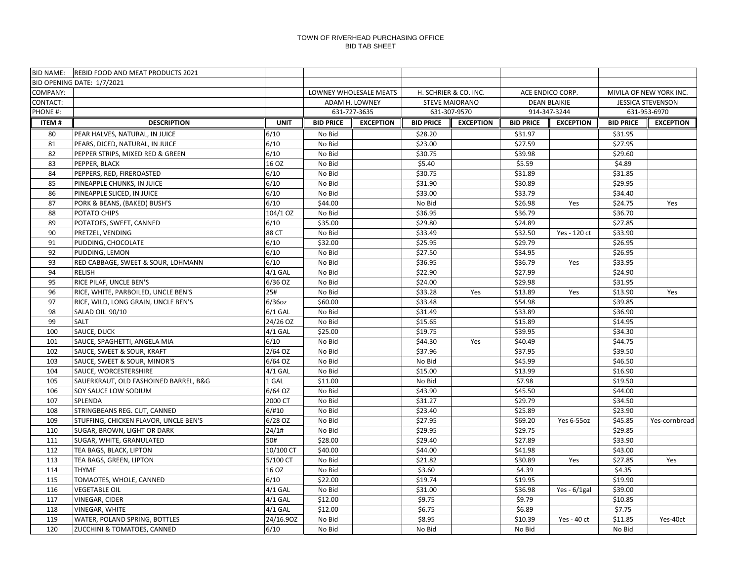|              | BID NAME: REBID FOOD AND MEAT PRODUCTS 2021 |             |                        |                  |                       |                  |                     |                  |                          |                  |
|--------------|---------------------------------------------|-------------|------------------------|------------------|-----------------------|------------------|---------------------|------------------|--------------------------|------------------|
|              | BID OPENING DATE: 1/7/2021                  |             |                        |                  |                       |                  |                     |                  |                          |                  |
| COMPANY:     |                                             |             | LOWNEY WHOLESALE MEATS |                  | H. SCHRIER & CO. INC. |                  | ACE ENDICO CORP.    |                  | MIVILA OF NEW YORK INC.  |                  |
| CONTACT:     |                                             |             |                        | ADAM H. LOWNEY   | <b>STEVE MAIORANO</b> |                  | <b>DEAN BLAIKIE</b> |                  | <b>JESSICA STEVENSON</b> |                  |
| PHONE #:     |                                             |             |                        | 631-727-3635     |                       | 631-307-9570     | 914-347-3244        |                  |                          | 631-953-6970     |
| <b>ITEM#</b> | <b>DESCRIPTION</b>                          | <b>UNIT</b> | <b>BID PRICE</b>       | <b>EXCEPTION</b> | <b>BID PRICE</b>      | <b>EXCEPTION</b> | <b>BID PRICE</b>    | <b>EXCEPTION</b> | <b>BID PRICE</b>         | <b>EXCEPTION</b> |
| 80           | PEAR HALVES, NATURAL, IN JUICE              | 6/10        | No Bid                 |                  | \$28.20               |                  | \$31.97             |                  | \$31.95                  |                  |
| 81           | PEARS, DICED, NATURAL, IN JUICE             | 6/10        | No Bid                 |                  | \$23.00               |                  | \$27.59             |                  | \$27.95                  |                  |
| 82           | PEPPER STRIPS, MIXED RED & GREEN            | 6/10        | No Bid                 |                  | \$30.75               |                  | \$39.98             |                  | \$29.60                  |                  |
| 83           | PEPPER, BLACK                               | 16 OZ       | No Bid                 |                  | \$5.40                |                  | \$5.59              |                  | \$4.89                   |                  |
| 84           | PEPPERS, RED, FIREROASTED                   | 6/10        | No Bid                 |                  | \$30.75               |                  | \$31.89             |                  | \$31.85                  |                  |
| 85           | PINEAPPLE CHUNKS, IN JUICE                  | 6/10        | No Bid                 |                  | \$31.90               |                  | \$30.89             |                  | \$29.95                  |                  |
| 86           | PINEAPPLE SLICED, IN JUICE                  | 6/10        | No Bid                 |                  | \$33.00               |                  | \$33.79             |                  | \$34.40                  |                  |
| 87           | PORK & BEANS, (BAKED) BUSH'S                | 6/10        | \$44.00                |                  | No Bid                |                  | \$26.98             | Yes              | \$24.75                  | Yes              |
| 88           | POTATO CHIPS                                | 104/1 OZ    | No Bid                 |                  | \$36.95               |                  | \$36.79             |                  | \$36.70                  |                  |
| 89           | POTATOES, SWEET, CANNED                     | 6/10        | \$35.00                |                  | \$29.80               |                  | \$24.89             |                  | \$27.85                  |                  |
| 90           | PRETZEL, VENDING                            | 88 CT       | No Bid                 |                  | \$33.49               |                  | \$32.50             | Yes - 120 ct     | \$33.90                  |                  |
| 91           | PUDDING, CHOCOLATE                          | 6/10        | \$32.00                |                  | \$25.95               |                  | \$29.79             |                  | \$26.95                  |                  |
| 92           | PUDDING, LEMON                              | 6/10        | No Bid                 |                  | \$27.50               |                  | \$34.95             |                  | \$26.95                  |                  |
| 93           | RED CABBAGE, SWEET & SOUR, LOHMANN          | 6/10        | No Bid                 |                  | \$36.95               |                  | \$36.79             | Yes              | \$33.95                  |                  |
| 94           | <b>RELISH</b>                               | $4/1$ GAL   | No Bid                 |                  | \$22.90               |                  | \$27.99             |                  | \$24.90                  |                  |
| 95           | RICE PILAF, UNCLE BEN'S                     | 6/36 OZ     | No Bid                 |                  | \$24.00               |                  | \$29.98             |                  | \$31.95                  |                  |
| 96           | RICE, WHITE, PARBOILED, UNCLE BEN'S         | 25#         | No Bid                 |                  | \$33.28               | Yes              | \$13.89             | Yes              | \$13.90                  | Yes              |
| 97           | RICE, WILD, LONG GRAIN, UNCLE BEN'S         | 6/36oz      | \$60.00                |                  | \$33.48               |                  | \$54.98             |                  | \$39.85                  |                  |
| 98           | SALAD OIL 90/10                             | $6/1$ GAL   | No Bid                 |                  | \$31.49               |                  | \$33.89             |                  | \$36.90                  |                  |
| 99           | <b>SALT</b>                                 | 24/26 OZ    | No Bid                 |                  | \$15.65               |                  | \$15.89             |                  | \$14.95                  |                  |
| 100          | SAUCE, DUCK                                 | $4/1$ GAL   | \$25.00                |                  | \$19.75               |                  | \$39.95             |                  | \$34.30                  |                  |
| 101          | SAUCE, SPAGHETTI, ANGELA MIA                | 6/10        | No Bid                 |                  | \$44.30               | Yes              | \$40.49             |                  | \$44.75                  |                  |
| 102          | SAUCE, SWEET & SOUR, KRAFT                  | 2/64 OZ     | No Bid                 |                  | \$37.96               |                  | \$37.95             |                  | \$39.50                  |                  |
| 103          | SAUCE, SWEET & SOUR, MINOR'S                | 6/64 OZ     | No Bid                 |                  | No Bid                |                  | \$45.99             |                  | \$46.50                  |                  |
| 104          | SAUCE, WORCESTERSHIRE                       | $4/1$ GAL   | No Bid                 |                  | \$15.00               |                  | \$13.99             |                  | \$16.90                  |                  |
| 105          | SAUERKRAUT, OLD FASHOINED BARREL, B&G       | 1 GAL       | \$11.00                |                  | No Bid                |                  | \$7.98              |                  | \$19.50                  |                  |
| 106          | SOY SAUCE LOW SODIUM                        | 6/64 OZ     | No Bid                 |                  | \$43.90               |                  | \$45.50             |                  | \$44.00                  |                  |
| 107          | SPLENDA                                     | 2000 CT     | No Bid                 |                  | \$31.27               |                  | \$29.79             |                  | \$34.50                  |                  |
| 108          | STRINGBEANS REG. CUT, CANNED                | 6/#10       | No Bid                 |                  | \$23.40               |                  | \$25.89             |                  | \$23.90                  |                  |
| 109          | STUFFING, CHICKEN FLAVOR, UNCLE BEN'S       | 6/28 OZ     | No Bid                 |                  | \$27.95               |                  | \$69.20             | Yes 6-55oz       | \$45.85                  | Yes-cornbread    |
| 110          | SUGAR, BROWN, LIGHT OR DARK                 | 24/1#       | No Bid                 |                  | \$29.95               |                  | \$29.75             |                  | \$29.85                  |                  |
| 111          | SUGAR, WHITE, GRANULATED                    | 50#         | \$28.00                |                  | \$29.40               |                  | \$27.89             |                  | \$33.90                  |                  |
| 112          | TEA BAGS, BLACK, LIPTON                     | 10/100 CT   | \$40.00                |                  | \$44.00               |                  | \$41.98             |                  | \$43.00                  |                  |
| 113          | TEA BAGS, GREEN, LIPTON                     | 5/100 CT    | No Bid                 |                  | \$21.82               |                  | \$30.89             | Yes              | \$27.85                  | Yes              |
| 114          | <b>THYME</b>                                | 16 OZ       | No Bid                 |                  | \$3.60                |                  | \$4.39              |                  | \$4.35                   |                  |
| 115          | TOMAOTES, WHOLE, CANNED                     | 6/10        | \$22.00                |                  | \$19.74               |                  | \$19.95             |                  | \$19.90                  |                  |
| 116          | <b>VEGETABLE OIL</b>                        | $4/1$ GAL   | No Bid                 |                  | \$31.00               |                  | \$36.98             | Yes - $6/1$ gal  | \$39.00                  |                  |
| 117          | <b>VINEGAR, CIDER</b>                       | $4/1$ GAL   | \$12.00                |                  | \$9.75                |                  | \$9.79              |                  | \$10.85                  |                  |
| 118          | <b>VINEGAR, WHITE</b>                       | $4/1$ GAL   | \$12.00                |                  | \$6.75                |                  | \$6.89              |                  | \$7.75                   |                  |
| 119          | WATER, POLAND SPRING, BOTTLES               | 24/16.90Z   | No Bid                 |                  | \$8.95                |                  | \$10.39             | Yes - 40 ct      | \$11.85                  | Yes-40ct         |
| 120          | ZUCCHINI & TOMATOES, CANNED                 | 6/10        | No Bid                 |                  | No Bid                |                  | No Bid              |                  | No Bid                   |                  |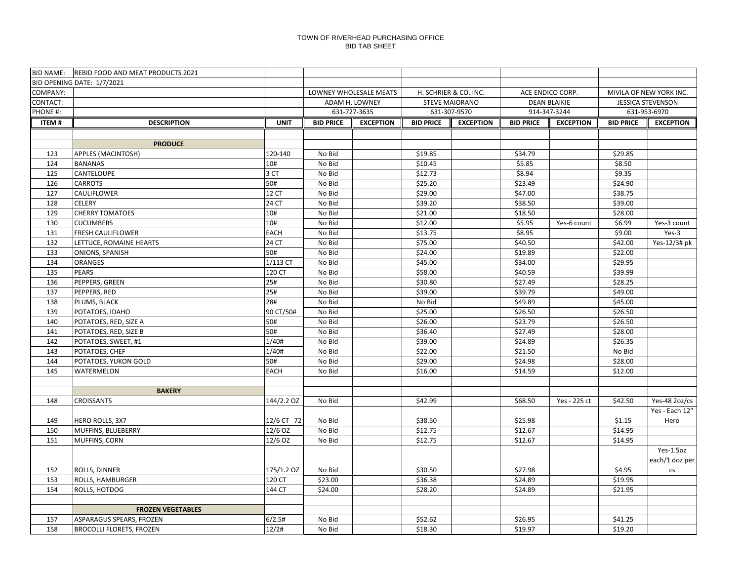|              | BID NAME: REBID FOOD AND MEAT PRODUCTS 2021 |                  |                                      |                                      |                    |                     |                    |                          |
|--------------|---------------------------------------------|------------------|--------------------------------------|--------------------------------------|--------------------|---------------------|--------------------|--------------------------|
|              | BID OPENING DATE: 1/7/2021                  |                  |                                      |                                      |                    |                     |                    |                          |
| COMPANY:     |                                             |                  | LOWNEY WHOLESALE MEATS               | H. SCHRIER & CO. INC.                | ACE ENDICO CORP.   |                     |                    | MIVILA OF NEW YORK INC.  |
| CONTACT:     |                                             |                  | ADAM H. LOWNEY                       | <b>STEVE MAIORANO</b>                |                    | <b>DEAN BLAIKIE</b> |                    | <b>JESSICA STEVENSON</b> |
| PHONE #:     |                                             |                  | 631-727-3635                         | 631-307-9570                         |                    | 914-347-3244        |                    | 631-953-6970             |
| <b>ITEM#</b> | <b>DESCRIPTION</b>                          | <b>UNIT</b>      | <b>BID PRICE</b><br><b>EXCEPTION</b> | <b>BID PRICE</b><br><b>EXCEPTION</b> | <b>BID PRICE</b>   | <b>EXCEPTION</b>    | <b>BID PRICE</b>   | <b>EXCEPTION</b>         |
|              |                                             |                  |                                      |                                      |                    |                     |                    |                          |
|              | <b>PRODUCE</b>                              |                  |                                      |                                      |                    |                     |                    |                          |
| 123          | <b>APPLES (MACINTOSH)</b>                   | 120-140          | No Bid                               | \$19.85                              | \$34.79            |                     | \$29.85            |                          |
| 124          | <b>BANANAS</b>                              | 10#              | No Bid                               | \$10.45                              | \$5.85             |                     | \$8.50             |                          |
| 125          | CANTELOUPE                                  | 3 CT             | No Bid                               | \$12.73                              | \$8.94             |                     | \$9.35             |                          |
| 126          | <b>CARROTS</b>                              | 50#              | No Bid                               | \$25.20                              | \$23.49            |                     | \$24.90            |                          |
| 127          | CAULIFLOWER                                 | 12 CT            | No Bid                               | \$29.00                              | \$47.00            |                     | \$38.75            |                          |
| 128          | <b>CELERY</b>                               | 24 CT            | No Bid                               | \$39.20                              | \$38.50            |                     | \$39.00            |                          |
| 129          | <b>CHERRY TOMATOES</b>                      | 10#              | No Bid                               | \$21.00                              | \$18.50            |                     | \$28.00            |                          |
| 130          | <b>CUCUMBERS</b>                            | 10#              | No Bid                               | \$12.00                              | \$5.95             | Yes-6 count         | \$6.99             | Yes-3 count              |
| 131          | FRESH CAULIFLOWER                           | <b>EACH</b>      | No Bid                               | \$13.75                              | \$8.95             |                     | \$9.00             | $Yes-3$                  |
| 132          | LETTUCE, ROMAINE HEARTS                     | 24 CT            | No Bid                               | \$75.00                              | \$40.50            |                     | \$42.00            | Yes-12/3# pk             |
| 133          | ONIONS, SPANISH                             | 50#              | No Bid                               | \$24.00                              | \$19.89            |                     | \$22.00            |                          |
| 134          | <b>ORANGES</b>                              | 1/113 CT         | No Bid                               | \$45.00                              | \$34.00            |                     | \$29.95            |                          |
| 135          | <b>PEARS</b>                                | 120 CT           | No Bid                               | \$58.00                              | \$40.59            |                     | \$39.99            |                          |
| 136          | PEPPERS, GREEN                              | 25#              | No Bid                               | \$30.80                              | \$27.49            |                     | \$28.25            |                          |
| 137          | PEPPERS, RED                                | 25#              | No Bid                               | \$39.00                              | \$39.79            |                     | \$49.00            |                          |
| 138          | PLUMS, BLACK                                | 28#              | No Bid                               | No Bid                               | \$49.89            |                     | \$45.00            |                          |
| 139<br>140   | POTATOES, IDAHO<br>POTATOES, RED, SIZE A    | 90 CT/50#<br>50# | No Bid<br>No Bid                     | \$25.00<br>\$26.00                   | \$26.50<br>\$23.79 |                     | \$26.50<br>\$26.50 |                          |
| 141          | POTATOES, RED, SIZE B                       | 50#              | No Bid                               | \$36.40                              | \$27.49            |                     | \$28.00            |                          |
| 142          | POTATOES, SWEET, #1                         | 1/40#            | No Bid                               | \$39.00                              | \$24.89            |                     | \$26.35            |                          |
| 143          | POTATOES, CHEF                              | 1/40#            | No Bid                               | \$22.00                              | \$21.50            |                     | No Bid             |                          |
| 144          | POTATOES, YUKON GOLD                        | 50#              | No Bid                               | \$29.00                              | \$24.98            |                     | \$28.00            |                          |
| 145          | WATERMELON                                  | <b>EACH</b>      | No Bid                               | \$16.00                              | \$14.59            |                     | \$12.00            |                          |
|              |                                             |                  |                                      |                                      |                    |                     |                    |                          |
|              | <b>BAKERY</b>                               |                  |                                      |                                      |                    |                     |                    |                          |
| 148          | <b>CROISSANTS</b>                           | 144/2.2 OZ       | No Bid                               | \$42.99                              | \$68.50            | Yes - 225 ct        | \$42.50            | Yes-48 2oz/cs            |
|              |                                             |                  |                                      |                                      |                    |                     |                    | Yes - Each 12"           |
| 149          | HERO ROLLS, 3X7                             | 12/6 CT 72       | No Bid                               | \$38.50                              | \$25.98            |                     | \$1.15             | Hero                     |
| 150          | MUFFINS, BLUEBERRY                          | 12/6 OZ          | No Bid                               | \$12.75                              | \$12.67            |                     | \$14.95            |                          |
| 151          | MUFFINS, CORN                               | 12/6 OZ          | No Bid                               | \$12.75                              | \$12.67            |                     | \$14.95            |                          |
|              |                                             |                  |                                      |                                      |                    |                     |                    | Yes-1.5oz                |
|              |                                             |                  |                                      |                                      |                    |                     |                    | each/1 doz per           |
| 152          | ROLLS, DINNER                               | 175/1.2 OZ       | No Bid                               | \$30.50                              | \$27.98            |                     | \$4.95             | <b>CS</b>                |
| 153          | ROLLS, HAMBURGER                            | 120 CT           | \$23.00                              | \$36.38                              | \$24.89            |                     | \$19.95            |                          |
| 154          | ROLLS, HOTDOG                               | 144 CT           | \$24.00                              | \$28.20                              | \$24.89            |                     | \$21.95            |                          |
|              |                                             |                  |                                      |                                      |                    |                     |                    |                          |
|              | <b>FROZEN VEGETABLES</b>                    |                  |                                      |                                      |                    |                     |                    |                          |
| 157          | ASPARAGUS SPEARS, FROZEN                    | 6/2.5#           | No Bid                               | \$52.62                              | \$26.95            |                     | \$41.25            |                          |
| 158          | <b>BROCOLLI FLORETS, FROZEN</b>             | 12/2#            | No Bid                               | \$18.30                              | \$19.97            |                     | \$19.20            |                          |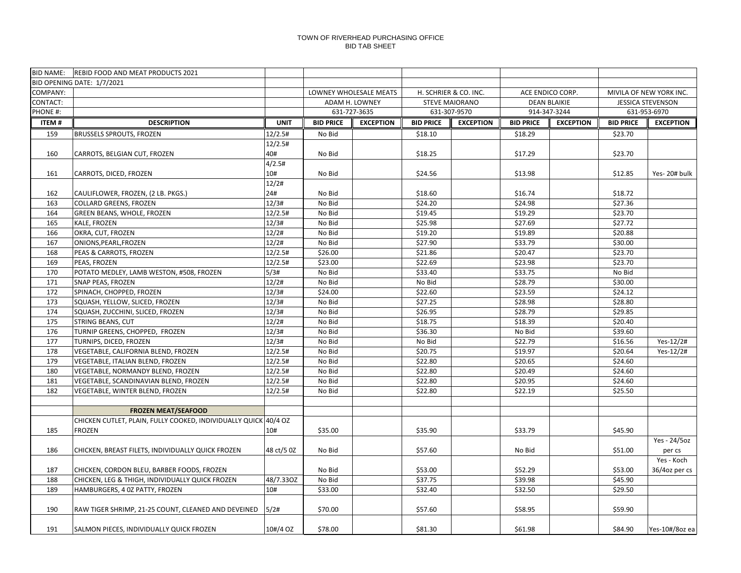|              | BID NAME: REBID FOOD AND MEAT PRODUCTS 2021                                                   |                |                  |                        |                                           |                  |                     |                         |                    |                          |
|--------------|-----------------------------------------------------------------------------------------------|----------------|------------------|------------------------|-------------------------------------------|------------------|---------------------|-------------------------|--------------------|--------------------------|
|              | BID OPENING DATE: 1/7/2021                                                                    |                |                  |                        |                                           |                  |                     |                         |                    |                          |
| COMPANY:     |                                                                                               |                |                  | LOWNEY WHOLESALE MEATS | H. SCHRIER & CO. INC.<br>ACE ENDICO CORP. |                  |                     | MIVILA OF NEW YORK INC. |                    |                          |
| CONTACT:     |                                                                                               |                |                  | ADAM H. LOWNEY         | <b>STEVE MAIORANO</b>                     |                  | <b>DEAN BLAIKIE</b> |                         |                    | <b>JESSICA STEVENSON</b> |
| PHONE #:     |                                                                                               |                |                  | 631-727-3635           |                                           | 631-307-9570     | 914-347-3244        |                         |                    | 631-953-6970             |
| <b>ITEM#</b> | <b>DESCRIPTION</b>                                                                            | <b>UNIT</b>    | <b>BID PRICE</b> | <b>EXCEPTION</b>       | <b>BID PRICE</b>                          | <b>EXCEPTION</b> | <b>BID PRICE</b>    | <b>EXCEPTION</b>        | <b>BID PRICE</b>   | <b>EXCEPTION</b>         |
| 159          | <b>BRUSSELS SPROUTS, FROZEN</b>                                                               | 12/2.5#        | No Bid           |                        | \$18.10                                   |                  | \$18.29             |                         | \$23.70            |                          |
|              |                                                                                               | 12/2.5#        |                  |                        |                                           |                  |                     |                         |                    |                          |
| 160          | CARROTS, BELGIAN CUT, FROZEN                                                                  | 40#            | No Bid           |                        | \$18.25                                   |                  | \$17.29             |                         | \$23.70            |                          |
|              |                                                                                               | 4/2.5#         |                  |                        |                                           |                  |                     |                         |                    |                          |
| 161          | CARROTS, DICED, FROZEN                                                                        | 10#            | No Bid           |                        | \$24.56                                   |                  | \$13.98             |                         | \$12.85            | Yes-20# bulk             |
|              |                                                                                               | 12/2#          |                  |                        |                                           |                  |                     |                         |                    |                          |
| 162          | CAULIFLOWER, FROZEN, (2 LB. PKGS.)                                                            | 24#            | No Bid           |                        | \$18.60                                   |                  | \$16.74             |                         | \$18.72            |                          |
| 163          | <b>COLLARD GREENS, FROZEN</b>                                                                 | 12/3#          | No Bid           |                        | \$24.20                                   |                  | \$24.98             |                         | \$27.36            |                          |
| 164          | GREEN BEANS, WHOLE, FROZEN                                                                    | 12/2.5#        | No Bid           |                        | \$19.45                                   |                  | \$19.29             |                         | \$23.70            |                          |
| 165          | KALE, FROZEN                                                                                  | 12/3#<br>12/2# | No Bid           |                        | \$25.98                                   |                  | \$27.69             |                         | \$27.72            |                          |
| 166<br>167   | OKRA, CUT, FROZEN<br>ONIONS, PEARL, FROZEN                                                    | 12/2#          | No Bid<br>No Bid |                        | \$19.20<br>\$27.90                        |                  | \$19.89<br>\$33.79  |                         | \$20.88<br>\$30.00 |                          |
| 168          | PEAS & CARROTS, FROZEN                                                                        | 12/2.5#        | \$26.00          |                        | \$21.86                                   |                  | \$20.47             |                         | \$23.70            |                          |
| 169          | PEAS, FROZEN                                                                                  | 12/2.5#        | \$23.00          |                        | \$22.69                                   |                  | \$23.98             |                         | \$23.70            |                          |
| 170          | POTATO MEDLEY, LAMB WESTON, #508, FROZEN                                                      | 5/3#           | No Bid           |                        | \$33.40                                   |                  | \$33.75             |                         | No Bid             |                          |
| 171          | SNAP PEAS, FROZEN                                                                             | 12/2#          | No Bid           |                        | No Bid                                    |                  | \$28.79             |                         | \$30.00            |                          |
| 172          | SPINACH, CHOPPED, FROZEN                                                                      | 12/3#          | \$24.00          |                        | \$22.60                                   |                  | \$23.59             |                         | \$24.12            |                          |
| 173          | SQUASH, YELLOW, SLICED, FROZEN                                                                | 12/3#          | No Bid           |                        | \$27.25                                   |                  | \$28.98             |                         | \$28.80            |                          |
| 174          | SQUASH, ZUCCHINI, SLICED, FROZEN                                                              | 12/3#          | No Bid           |                        | \$26.95                                   |                  | \$28.79             |                         | \$29.85            |                          |
| 175          | <b>STRING BEANS, CUT</b>                                                                      | 12/2#          | No Bid           |                        | \$18.75                                   |                  | \$18.39             |                         | \$20.40            |                          |
| 176          | TURNIP GREENS, CHOPPED, FROZEN                                                                | 12/3#          | No Bid           |                        | \$36.30                                   |                  | No Bid              |                         | \$39.60            |                          |
| 177          | TURNIPS, DICED, FROZEN                                                                        | 12/3#          | No Bid           |                        | No Bid                                    |                  | \$22.79             |                         | \$16.56            | Yes-12/2#                |
| 178          | VEGETABLE, CALIFORNIA BLEND, FROZEN                                                           | 12/2.5#        | No Bid           |                        | \$20.75                                   |                  | \$19.97             |                         | \$20.64            | Yes-12/2#                |
| 179          | VEGETABLE, ITALIAN BLEND, FROZEN                                                              | 12/2.5#        | No Bid           |                        | \$22.80                                   |                  | \$20.65             |                         | \$24.60            |                          |
| 180          | VEGETABLE, NORMANDY BLEND, FROZEN                                                             | 12/2.5#        | No Bid           |                        | \$22.80                                   |                  | \$20.49             |                         | \$24.60            |                          |
| 181          | VEGETABLE, SCANDINAVIAN BLEND, FROZEN                                                         | 12/2.5#        | No Bid           |                        | \$22.80                                   |                  | \$20.95             |                         | \$24.60            |                          |
| 182          | VEGETABLE, WINTER BLEND, FROZEN                                                               | 12/2.5#        | No Bid           |                        | \$22.80                                   |                  | \$22.19             |                         | \$25.50            |                          |
|              |                                                                                               |                |                  |                        |                                           |                  |                     |                         |                    |                          |
|              | <b>FROZEN MEAT/SEAFOOD</b>                                                                    |                |                  |                        |                                           |                  |                     |                         |                    |                          |
|              | CHICKEN CUTLET, PLAIN, FULLY COOKED, INDIVIDUALLY QUICK 40/4 OZ                               |                |                  |                        |                                           |                  |                     |                         |                    |                          |
| 185          | <b>FROZEN</b>                                                                                 | 10#            | \$35.00          |                        | \$35.90                                   |                  | \$33.79             |                         | \$45.90            |                          |
|              |                                                                                               |                |                  |                        |                                           |                  |                     |                         |                    | Yes - 24/5oz             |
| 186          | CHICKEN, BREAST FILETS, INDIVIDUALLY QUICK FROZEN                                             | 48 ct/5 0Z     | No Bid           |                        | \$57.60                                   |                  | No Bid              |                         | \$51.00            | per cs                   |
|              |                                                                                               |                |                  |                        |                                           |                  |                     |                         |                    | Yes - Koch               |
| 187<br>188   | CHICKEN, CORDON BLEU, BARBER FOODS, FROZEN<br>CHICKEN, LEG & THIGH, INDIVIDUALLY QUICK FROZEN | 48/7.330Z      | No Bid<br>No Bid |                        | \$53.00<br>\$37.75                        |                  | \$52.29<br>\$39.98  |                         | \$53.00<br>\$45.90 | 36/4oz per cs            |
| 189          | HAMBURGERS, 4 0Z PATTY, FROZEN                                                                | 10#            | \$33.00          |                        | \$32.40                                   |                  | \$32.50             |                         | \$29.50            |                          |
|              |                                                                                               |                |                  |                        |                                           |                  |                     |                         |                    |                          |
| 190          | RAW TIGER SHRIMP, 21-25 COUNT, CLEANED AND DEVEINED                                           | 5/2#           | \$70.00          |                        | \$57.60                                   |                  | \$58.95             |                         | \$59.90            |                          |
|              |                                                                                               |                |                  |                        |                                           |                  |                     |                         |                    |                          |
| 191          | SALMON PIECES, INDIVIDUALLY QUICK FROZEN                                                      | 10#/4 OZ       | \$78.00          |                        | \$81.30                                   |                  | \$61.98             |                         | \$84.90            | Yes-10#/8oz ea           |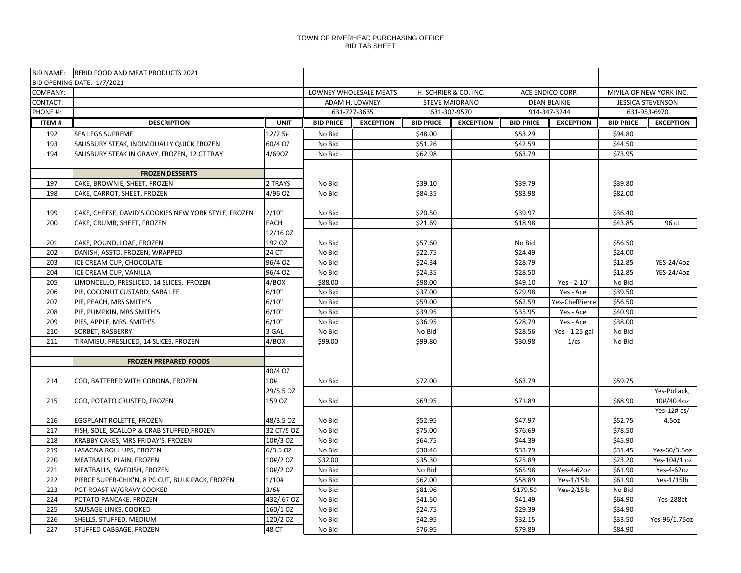|              | BID NAME: REBID FOOD AND MEAT PRODUCTS 2021                    |                        |                  |                        |                       |                       |                     |                  |                          |                              |
|--------------|----------------------------------------------------------------|------------------------|------------------|------------------------|-----------------------|-----------------------|---------------------|------------------|--------------------------|------------------------------|
|              | BID OPENING DATE: 1/7/2021                                     |                        |                  |                        |                       |                       |                     |                  |                          |                              |
| COMPANY:     |                                                                |                        |                  | LOWNEY WHOLESALE MEATS |                       | H. SCHRIER & CO. INC. |                     | ACE ENDICO CORP. | MIVILA OF NEW YORK INC.  |                              |
| CONTACT:     |                                                                |                        |                  | ADAM H. LOWNEY         | <b>STEVE MAIORANO</b> |                       | <b>DEAN BLAIKIE</b> |                  | <b>JESSICA STEVENSON</b> |                              |
| PHONE #:     |                                                                |                        |                  | 631-727-3635           |                       | 631-307-9570          |                     | 914-347-3244     |                          | 631-953-6970                 |
| <b>ITEM#</b> | <b>DESCRIPTION</b>                                             | <b>UNIT</b>            | <b>BID PRICE</b> | <b>EXCEPTION</b>       | <b>BID PRICE</b>      | <b>EXCEPTION</b>      | <b>BID PRICE</b>    | <b>EXCEPTION</b> | <b>BID PRICE</b>         | <b>EXCEPTION</b>             |
| 192          | SEA LEGS SUPREME                                               | 12/2.5#                | No Bid           |                        | \$48.00               |                       | \$53.29             |                  | \$94.80                  |                              |
| 193          | SALISBURY STEAK, INDIVIDUALLY QUICK FROZEN                     | 60/4 OZ                | No Bid           |                        | \$51.26               |                       | \$42.59             |                  | \$44.50                  |                              |
| 194          | SALISBURY STEAK IN GRAVY, FROZEN, 12 CT TRAY                   | 4/69OZ                 | No Bid           |                        | \$62.98               |                       | \$63.79             |                  | \$73.95                  |                              |
|              |                                                                |                        |                  |                        |                       |                       |                     |                  |                          |                              |
|              | <b>FROZEN DESSERTS</b>                                         |                        |                  |                        |                       |                       |                     |                  |                          |                              |
| 197          | CAKE, BROWNIE, SHEET, FROZEN                                   | 2 TRAYS                | No Bid           |                        | \$39.10               |                       | \$39.79             |                  | \$39.80                  |                              |
| 198          | CAKE, CARROT, SHEET, FROZEN                                    | 4/96 OZ                | No Bid           |                        | \$84.35               |                       | \$83.98             |                  | \$82.00                  |                              |
|              |                                                                |                        |                  |                        |                       |                       |                     |                  |                          |                              |
| 199          | CAKE, CHEESE, DAVID'S COOKIES NEW YORK STYLE, FROZEN           | 2/10"                  | No Bid           |                        | \$20.50               |                       | \$39.97             |                  | \$36.40                  |                              |
| 200          | CAKE, CRUMB, SHEET, FROZEN                                     | <b>EACH</b>            | No Bid           |                        | \$21.69               |                       | \$18.98             |                  | \$43.85                  | 96 ct                        |
|              |                                                                | 12/16 OZ               |                  |                        |                       |                       |                     |                  |                          |                              |
| 201          | CAKE, POUND, LOAF, FROZEN                                      | 192 OZ                 | No Bid           |                        | \$57.60               |                       | No Bid              |                  | \$56.50                  |                              |
| 202          | DANISH, ASSTD. FROZEN, WRAPPED                                 | 24 CT                  | No Bid           |                        | \$22.75               |                       | \$24.49             |                  | \$24.00                  |                              |
| 203          | ICE CREAM CUP, CHOCOLATE                                       | 96/4 OZ                | No Bid           |                        | \$24.34               |                       | \$28.79             |                  | \$12.85                  | YES-24/4oz                   |
| 204          | ICE CREAM CUP, VANILLA                                         | 96/4 OZ                | No Bid           |                        | \$24.35               |                       | \$28.50             |                  | \$12.85                  | YES-24/4oz                   |
| 205          | LIMONCELLO, PRESLICED, 14 SLICES, FROZEN                       | 4/BOX                  | \$88.00          |                        | \$98.00               |                       | \$49.10             | Yes - 2-10"      | No Bid                   |                              |
| 206          | PIE, COCONUT CUSTARD, SARA LEE                                 | 6/10"                  | No Bid           |                        | \$37.00               |                       | \$29.98             | Yes - Ace        | \$39.50                  |                              |
| 207          | PIE, PEACH, MRS SMITH'S                                        | 6/10"                  | No Bid           |                        | \$59.00               |                       | \$62.59             | Yes-ChefPierre   | \$56.50                  |                              |
| 208          | PIE, PUMPKIN, MRS SMITH'S                                      | 6/10"                  | No Bid           |                        | \$39.95               |                       | \$35.95             | Yes - Ace        | \$40.90                  |                              |
| 209          | PIES, APPLE, MRS. SMITH'S                                      | 6/10"                  | No Bid           |                        | \$36.95               |                       | \$28.79             | Yes - Ace        | \$38.00                  |                              |
| 210          | SORBET, RASBERRY                                               | 3 GAL                  | No Bid           |                        | No Bid                |                       | \$28.56             | Yes - 1.25 gal   | No Bid                   |                              |
| 211          | TIRAMISU, PRESLICED, 14 SLICES, FROZEN                         | 4/BOX                  | \$99.00          |                        | \$99.80               |                       | \$30.98             | 1/cs             | No Bid                   |                              |
|              |                                                                |                        |                  |                        |                       |                       |                     |                  |                          |                              |
|              | <b>FROZEN PREPARED FOODS</b>                                   |                        |                  |                        |                       |                       |                     |                  |                          |                              |
|              |                                                                | 40/4 OZ                |                  |                        |                       |                       |                     |                  |                          |                              |
| 214          | COD, BATTERED WITH CORONA, FROZEN                              | 10#                    | No Bid           |                        | \$72.00               |                       | \$63.79             |                  | \$59.75                  |                              |
|              |                                                                | 29/5.5 OZ              |                  |                        |                       |                       |                     |                  |                          | Yes-Pollack,                 |
| 215          | COD, POTATO CRUSTED, FROZEN                                    | 159 OZ                 | No Bid           |                        | \$69.95               |                       | \$71.89             |                  | \$68.90                  | 10#/40 4oz                   |
|              |                                                                |                        |                  |                        |                       |                       |                     |                  |                          | Yes-12# cs/                  |
| 216          | EGGPLANT ROLETTE, FROZEN                                       | 48/3.5 OZ              | No Bid           |                        | \$52.95               |                       | \$47.97<br>\$76.69  |                  | \$52.75<br>\$78.50       | 4.5oz                        |
| 217<br>218   | FISH, SOLE, SCALLOP & CRAB STUFFED, FROZEN                     | 32 CT/5 OZ<br>10#/3 OZ | No Bid<br>No Bid |                        | \$75.00<br>\$64.75    |                       | \$44.39             |                  | \$45.90                  |                              |
| 219          | KRABBY CAKES, MRS FRIDAY'S, FROZEN<br>LASAGNA ROLL UPS, FROZEN | $6/3.5$ OZ             | No Bid           |                        |                       |                       | \$33.79             |                  |                          |                              |
| 220          | MEATBALLS, PLAIN, FROZEN                                       | 10#/2 OZ               | \$32.00          |                        | \$30.46<br>\$35.30    |                       | \$25.89             |                  | \$31.45<br>\$23.20       | Yes-60/3.5oz<br>Yes-10#/1 oz |
| 221          | MEATBALLS, SWEDISH, FROZEN                                     | 10#/2 OZ               | No Bid           |                        | No Bid                |                       | \$65.98             | Yes-4-62oz       | \$61.90                  | Yes-4-62oz                   |
| 222          | PIERCE SUPER-CHIK'N, 8 PC CUT, BULK PACK, FROZEN               | 1/10#                  | No Bid           |                        | \$62.00               |                       | \$58.89             | $Yes-1/15lb$     | \$61.90                  | Yes-1/15lb                   |
| 223          | POT ROAST W/GRAVY COOKED                                       | 3/6#                   | No Bid           |                        | \$81.96               |                       | \$179.50            | Yes-2/15lb       | No Bid                   |                              |
| 224          | POTATO PANCAKE, FROZEN                                         | 432/.67 OZ             | No Bid           |                        | \$41.50               |                       | \$41.49             |                  | \$64.90                  | Yes-288ct                    |
| 225          | SAUSAGE LINKS, COOKED                                          | 160/1 OZ               | No Bid           |                        | \$24.75               |                       | \$29.39             |                  | \$34.90                  |                              |
| 226          | SHELLS, STUFFED, MEDIUM                                        | 120/2 OZ               | No Bid           |                        | \$42.95               |                       | \$32.15             |                  | \$33.50                  | Yes-96/1.75oz                |
| 227          | STUFFED CABBAGE, FROZEN                                        | 48 CT                  | No Bid           |                        | \$76.95               |                       | \$79.89             |                  | \$84.90                  |                              |
|              |                                                                |                        |                  |                        |                       |                       |                     |                  |                          |                              |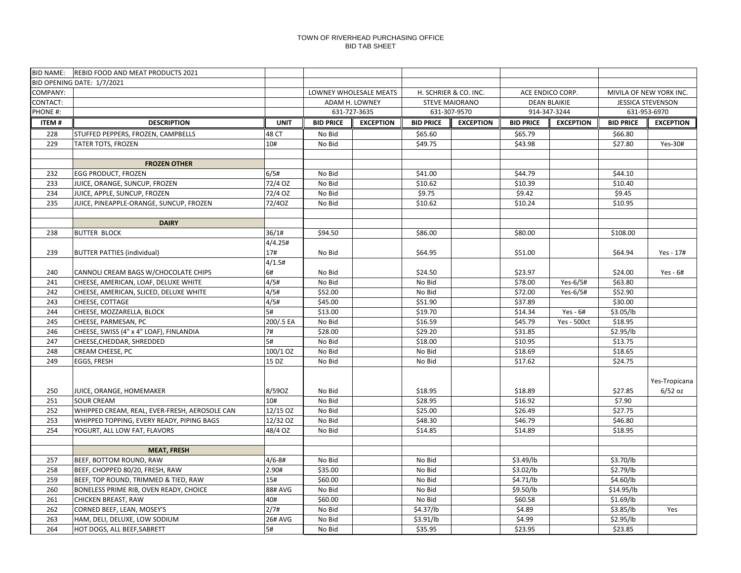| <b>BID NAME:</b> | <b>REBID FOOD AND MEAT PRODUCTS 2021</b>      |                |                  |                        |                  |                       |                  |                     |                          |                         |
|------------------|-----------------------------------------------|----------------|------------------|------------------------|------------------|-----------------------|------------------|---------------------|--------------------------|-------------------------|
|                  | BID OPENING DATE: 1/7/2021                    |                |                  |                        |                  |                       |                  |                     |                          |                         |
| COMPANY:         |                                               |                |                  | LOWNEY WHOLESALE MEATS |                  | H. SCHRIER & CO. INC. |                  | ACE ENDICO CORP.    |                          | MIVILA OF NEW YORK INC. |
| CONTACT:         |                                               |                |                  | ADAM H. LOWNEY         |                  | <b>STEVE MAIORANO</b> |                  | <b>DEAN BLAIKIE</b> | <b>JESSICA STEVENSON</b> |                         |
| PHONE #:         |                                               |                |                  | 631-727-3635           |                  | 631-307-9570          |                  | 914-347-3244        |                          | 631-953-6970            |
| <b>ITEM#</b>     | <b>DESCRIPTION</b>                            | <b>UNIT</b>    | <b>BID PRICE</b> | <b>EXCEPTION</b>       | <b>BID PRICE</b> | <b>EXCEPTION</b>      | <b>BID PRICE</b> | <b>EXCEPTION</b>    | <b>BID PRICE</b>         | <b>EXCEPTION</b>        |
| 228              | STUFFED PEPPERS, FROZEN, CAMPBELLS            | 48 CT          | No Bid           |                        | \$65.60          |                       | \$65.79          |                     | \$66.80                  |                         |
| 229              | <b>TATER TOTS, FROZEN</b>                     | 10#            | No Bid           |                        | \$49.75          |                       | \$43.98          |                     | \$27.80                  | Yes-30#                 |
|                  |                                               |                |                  |                        |                  |                       |                  |                     |                          |                         |
|                  | <b>FROZEN OTHER</b>                           |                |                  |                        |                  |                       |                  |                     |                          |                         |
| 232              | <b>EGG PRODUCT, FROZEN</b>                    | 6/5#           | No Bid           |                        | \$41.00          |                       | \$44.79          |                     | \$44.10                  |                         |
| 233              | JUICE, ORANGE, SUNCUP, FROZEN                 | 72/4 OZ        | No Bid           |                        | \$10.62          |                       | \$10.39          |                     | \$10.40                  |                         |
| 234              | JUICE, APPLE, SUNCUP, FROZEN                  | 72/4 OZ        | No Bid           |                        | \$9.75           |                       | \$9.42           |                     | \$9.45                   |                         |
| 235              | JUICE, PINEAPPLE-ORANGE, SUNCUP, FROZEN       | 72/40Z         | No Bid           |                        | \$10.62          |                       | \$10.24          |                     | \$10.95                  |                         |
|                  |                                               |                |                  |                        |                  |                       |                  |                     |                          |                         |
|                  | <b>DAIRY</b>                                  |                |                  |                        |                  |                       |                  |                     |                          |                         |
| 238              | <b>BUTTER BLOCK</b>                           | 36/1#          | \$94.50          |                        | \$86.00          |                       | \$80.00          |                     | \$108.00                 |                         |
|                  |                                               | 4/4.25#        |                  |                        |                  |                       |                  |                     |                          |                         |
| 239              | <b>BUTTER PATTIES (individual)</b>            | 17#            | No Bid           |                        | \$64.95          |                       | \$51.00          |                     | \$64.94                  | Yes - 17#               |
|                  |                                               | 4/1.5#         |                  |                        |                  |                       |                  |                     |                          |                         |
| 240              | CANNOLI CREAM BAGS W/CHOCOLATE CHIPS          | 6#             | No Bid           |                        | \$24.50          |                       | \$23.97          |                     | \$24.00                  | Yes - $6#$              |
| 241              | CHEESE, AMERICAN, LOAF, DELUXE WHITE          | 4/5#           | No Bid           |                        | No Bid           |                       | \$78.00          | Yes-6/5#            | \$63.80                  |                         |
| 242              | CHEESE, AMERICAN, SLICED, DELUXE WHITE        | 4/5#           | \$52.00          |                        | No Bid           |                       | \$72.00          | Yes-6/5#            | \$52.90                  |                         |
| 243              | CHEESE, COTTAGE                               | 4/5#           | \$45.00          |                        | \$51.90          |                       | \$37.89          |                     | \$30.00                  |                         |
| 244              | CHEESE, MOZZARELLA, BLOCK                     | 5#             | \$13.00          |                        | \$19.70          |                       | \$14.34          | Yes - $6#$          | \$3.05/lb                |                         |
| 245              | CHEESE, PARMESAN, PC                          | 200/.5 EA      | No Bid           |                        | \$16.59          |                       | \$45.79          | <b>Yes - 500ct</b>  | \$18.95                  |                         |
| 246              | CHEESE, SWISS (4" x 4" LOAF), FINLANDIA       | 7#             | \$28.00          |                        | \$29.20          |                       | \$31.85          |                     | \$2.95/lb                |                         |
| 247              | CHEESE, CHEDDAR, SHREDDED                     | 5#             | No Bid           |                        | \$18.00          |                       | \$10.95          |                     | \$13.75                  |                         |
| 248              | CREAM CHEESE, PC                              | $100/1$ OZ     | No Bid           |                        | No Bid           |                       | \$18.69          |                     | \$18.65                  |                         |
| 249              | <b>EGGS, FRESH</b>                            | 15 DZ          | No Bid           |                        | No Bid           |                       | \$17.62          |                     | \$24.75                  |                         |
|                  |                                               |                |                  |                        |                  |                       |                  |                     |                          |                         |
|                  |                                               |                |                  |                        |                  |                       |                  |                     |                          | Yes-Tropicana           |
| 250              | JUICE, ORANGE, HOMEMAKER                      | 8/590Z         | No Bid           |                        | \$18.95          |                       | \$18.89          |                     | \$27.85                  | $6/52$ oz               |
| 251              | <b>SOUR CREAM</b>                             | 10#            | No Bid           |                        | \$28.95          |                       | \$16.92          |                     | \$7.90                   |                         |
| 252              | WHIPPED CREAM, REAL, EVER-FRESH, AEROSOLE CAN | 12/15 OZ       | No Bid           |                        | \$25.00          |                       | \$26.49          |                     | \$27.75                  |                         |
| 253              | WHIPPED TOPPING, EVERY READY, PIPING BAGS     | 12/32 OZ       | No Bid           |                        | \$48.30          |                       | \$46.79          |                     | \$46.80                  |                         |
| 254              | YOGURT, ALL LOW FAT, FLAVORS                  | 48/4 OZ        | No Bid           |                        | \$14.85          |                       | \$14.89          |                     | \$18.95                  |                         |
|                  |                                               |                |                  |                        |                  |                       |                  |                     |                          |                         |
|                  | <b>MEAT, FRESH</b>                            |                |                  |                        |                  |                       |                  |                     |                          |                         |
| 257              | BEEF, BOTTOM ROUND, RAW                       | $4/6 - 8#$     | No Bid           |                        | No Bid           |                       | \$3.49/lb        |                     | \$3.70/lb                |                         |
| 258              | BEEF, CHOPPED 80/20, FRESH, RAW               | 2.90#          | \$35.00          |                        | No Bid           |                       | \$3.02/lb        |                     | \$2.79/lb                |                         |
| 259              | BEEF, TOP ROUND, TRIMMED & TIED, RAW          | 15#            | \$60.00          |                        | No Bid           |                       | \$4.71/lb        |                     | \$4.60/lb                |                         |
| 260              | BONELESS PRIME RIB, OVEN READY, CHOICE        | 88# AVG        | No Bid           |                        | No Bid           |                       | \$9.50/lb        |                     | \$14.95/lb               |                         |
| 261              | CHICKEN BREAST, RAW                           | 40#<br>2/7#    | \$60.00          |                        | No Bid           |                       | \$60.58          |                     | \$1.69/lb                |                         |
| 262              | CORNED BEEF, LEAN, MOSEY'S                    |                | No Bid           |                        | \$4.37/lb        |                       | \$4.89           |                     | \$3.85/lb                | Yes                     |
| 263              | HAM, DELI, DELUXE, LOW SODIUM                 | <b>26# AVG</b> | No Bid           |                        | \$3.91/lb        |                       | \$4.99           |                     | \$2.95/lb                |                         |
| 264              | HOT DOGS, ALL BEEF, SABRETT                   | 5#             | No Bid           |                        | \$35.95          |                       | \$23.95          |                     | \$23.85                  |                         |